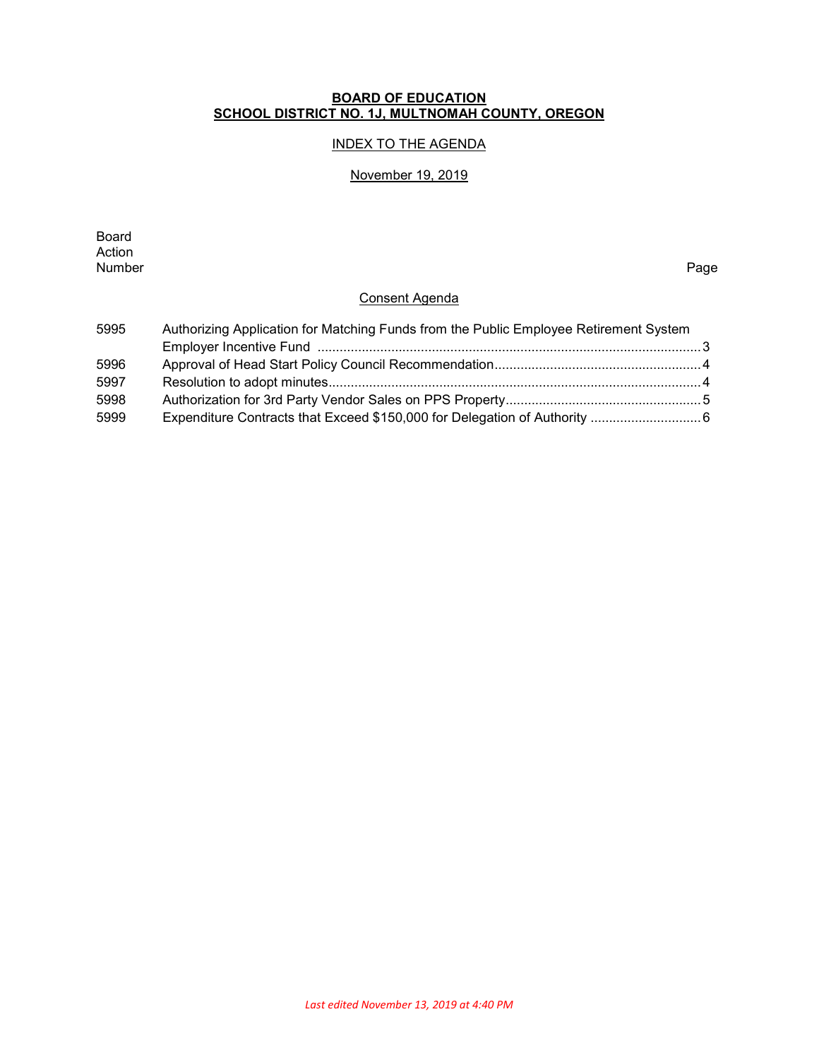### **BOARD OF EDUCATION SCHOOL DISTRICT NO. 1J, MULTNOMAH COUNTY, OREGON**

## INDEX TO THE AGENDA

#### November 19, 2019

Board Action<br>Number Number Page

### Consent Agenda

| 5995 | Authorizing Application for Matching Funds from the Public Employee Retirement System |  |  |  |
|------|---------------------------------------------------------------------------------------|--|--|--|
|      |                                                                                       |  |  |  |
| 5996 |                                                                                       |  |  |  |
| 5997 |                                                                                       |  |  |  |
| 5998 |                                                                                       |  |  |  |
| 5999 |                                                                                       |  |  |  |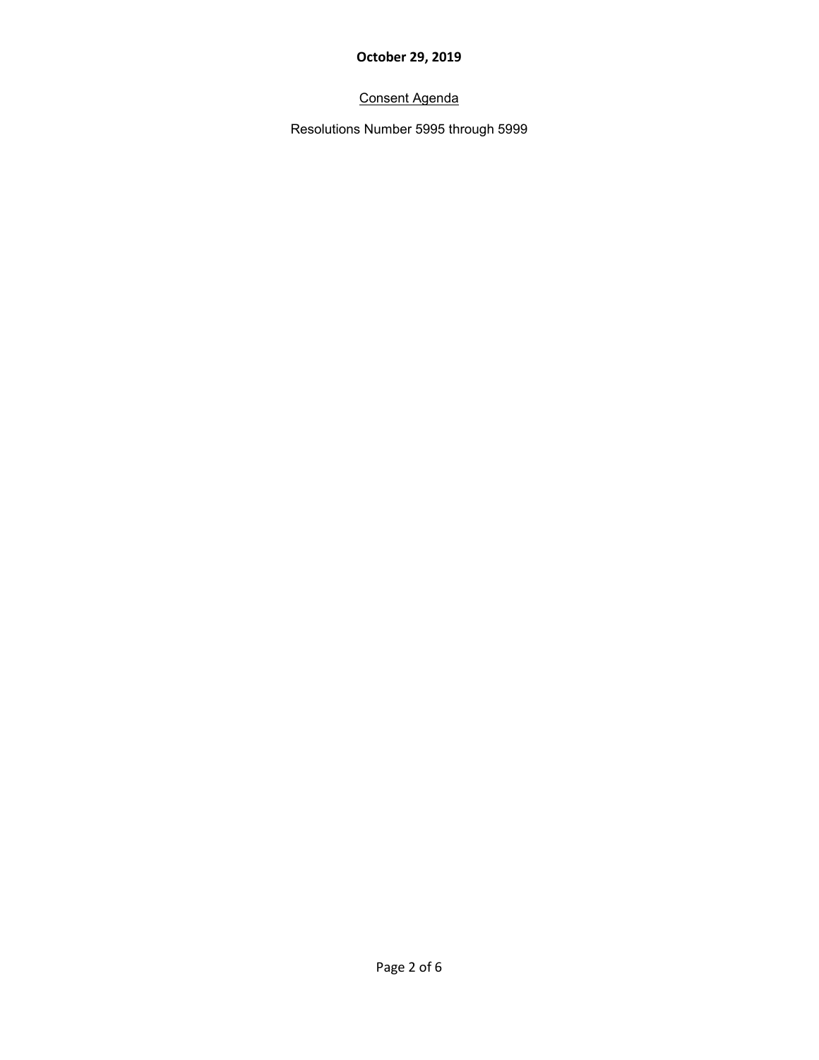# Consent Agenda

Resolutions Number 5995 through 5999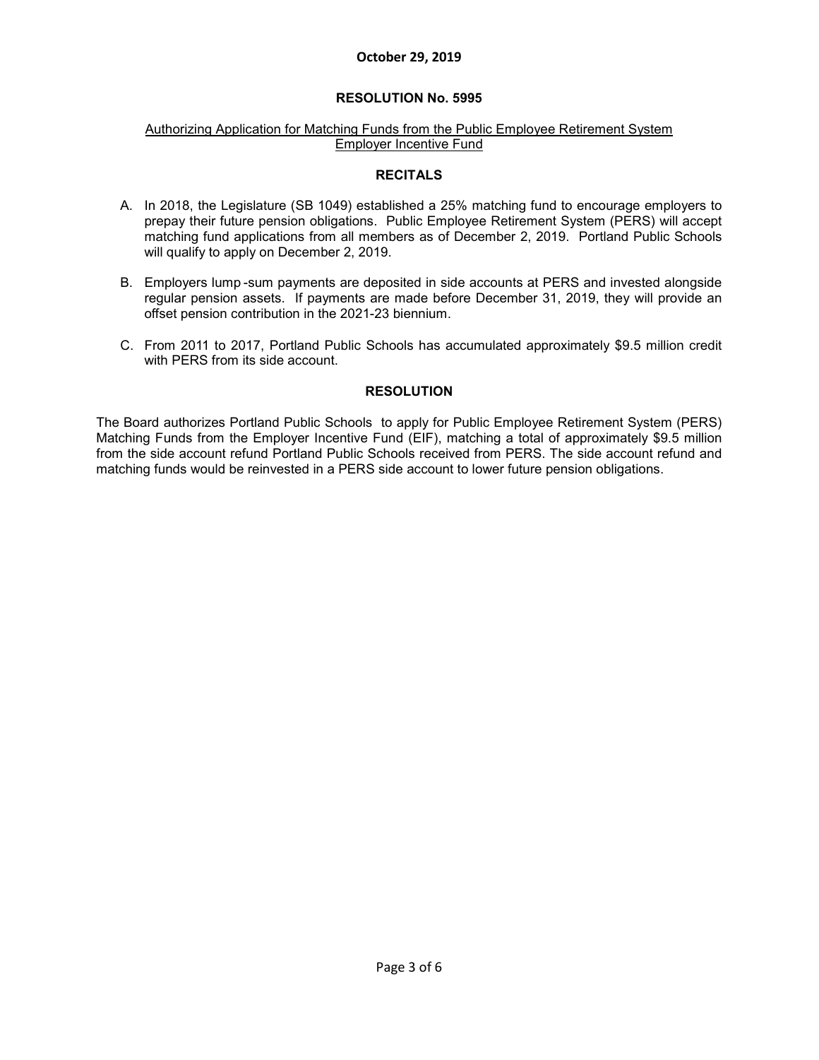### **RESOLUTION No. 5995**

#### Authorizing Application for Matching Funds from the Public Employee Retirement System Employer Incentive Fund

#### **RECITALS**

- A. In 2018, the Legislature (SB 1049) established a 25% matching fund to encourage employers to prepay their future pension obligations. Public Employee Retirement System (PERS) will accept matching fund applications from all members as of December 2, 2019. Portland Public Schools will qualify to apply on December 2, 2019.
- B. Employers lump -sum payments are deposited in side accounts at PERS and invested alongside regular pension assets. If payments are made before December 31, 2019, they will provide an offset pension contribution in the 2021-23 biennium.
- C. From 2011 to 2017, Portland Public Schools has accumulated approximately \$9.5 million credit with PERS from its side account.

#### **RESOLUTION**

The Board authorizes Portland Public Schools to apply for Public Employee Retirement System (PERS) Matching Funds from the Employer Incentive Fund (EIF), matching a total of approximately \$9.5 million from the side account refund Portland Public Schools received from PERS. The side account refund and matching funds would be reinvested in a PERS side account to lower future pension obligations.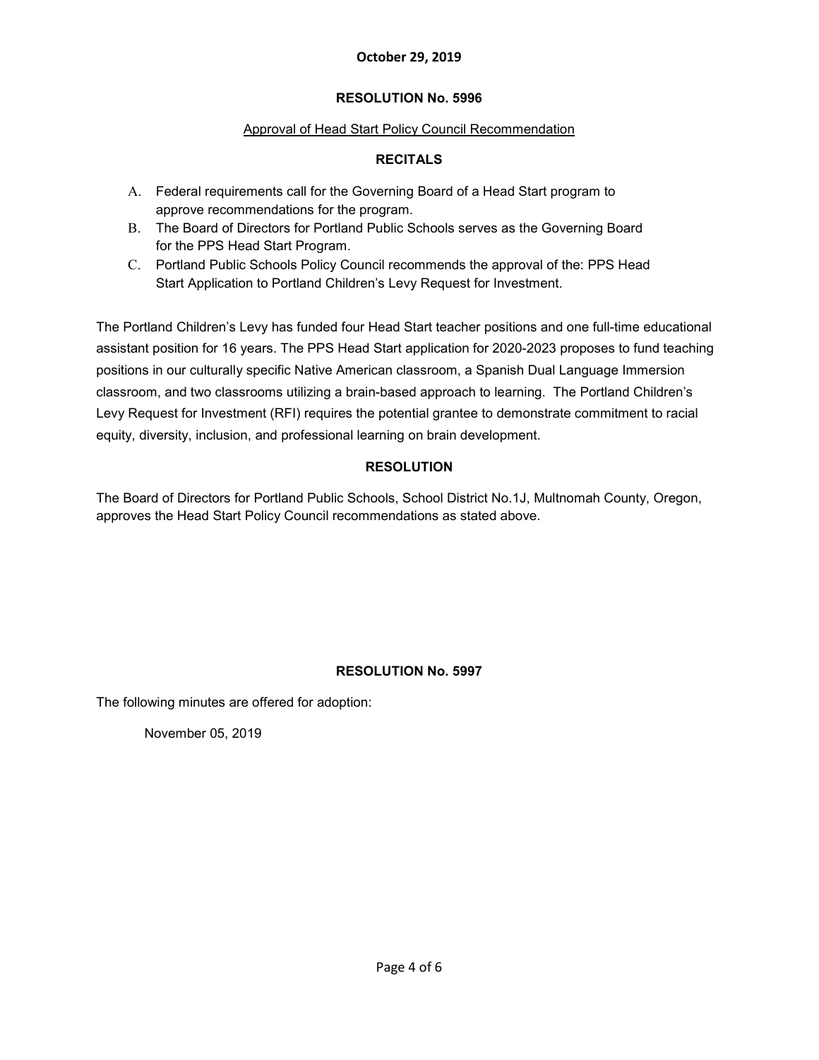## **RESOLUTION No. 5996**

## Approval of Head Start Policy Council Recommendation

## **RECITALS**

- A. Federal requirements call for the Governing Board of a Head Start program to approve recommendations for the program.
- B. The Board of Directors for Portland Public Schools serves as the Governing Board for the PPS Head Start Program.
- C. Portland Public Schools Policy Council recommends the approval of the: PPS Head Start Application to Portland Children's Levy Request for Investment.

The Portland Children's Levy has funded four Head Start teacher positions and one full-time educational assistant position for 16 years. The PPS Head Start application for 2020-2023 proposes to fund teaching positions in our culturally specific Native American classroom, a Spanish Dual Language Immersion classroom, and two classrooms utilizing a brain-based approach to learning. The Portland Children's Levy Request for Investment (RFI) requires the potential grantee to demonstrate commitment to racial equity, diversity, inclusion, and professional learning on brain development.

## **RESOLUTION**

The Board of Directors for Portland Public Schools, School District No.1J, Multnomah County, Oregon, approves the Head Start Policy Council recommendations as stated above.

## **RESOLUTION No. 5997**

The following minutes are offered for adoption:

November 05, 2019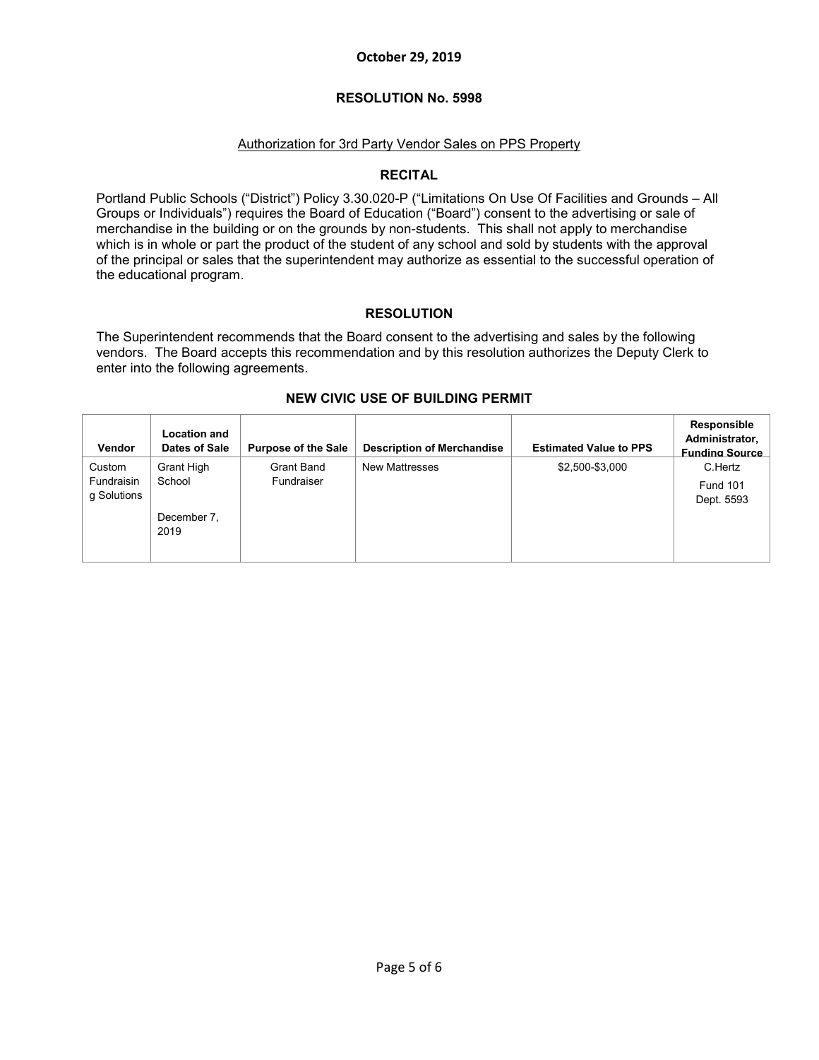### **RESOLUTION No. 5998**

## Authorization for 3rd Party Vendor Sales on PPS Property

### **RECITAL**

Portland Public Schools ("District") Policy 3.30.020-P ("Limitations On Use Of Facilities and Grounds – All Groups or Individuals") requires the Board of Education ("Board") consent to the advertising or sale of merchandise in the building or on the grounds by non-students. This shall not apply to merchandise which is in whole or part the product of the student of any school and sold by students with the approval of the principal or sales that the superintendent may authorize as essential to the successful operation of the educational program.

## **RESOLUTION**

The Superintendent recommends that the Board consent to the advertising and sales by the following vendors. The Board accepts this recommendation and by this resolution authorizes the Deputy Clerk to enter into the following agreements.

| Vendor                              | <b>Location and</b><br>Dates of Sale | <b>Purpose of the Sale</b>      | <b>Description of Merchandise</b> | <b>Estimated Value to PPS</b> | Responsible<br>Administrator,<br><b>Funding Source</b> |
|-------------------------------------|--------------------------------------|---------------------------------|-----------------------------------|-------------------------------|--------------------------------------------------------|
| Custom<br>Fundraisin<br>g Solutions | Grant High<br>School                 | <b>Grant Band</b><br>Fundraiser | <b>New Mattresses</b>             | \$2,500-\$3,000               | C.Hertz<br><b>Fund 101</b><br>Dept. 5593               |
|                                     | December 7.<br>2019                  |                                 |                                   |                               |                                                        |

### **NEW CIVIC USE OF BUILDING PERMIT**